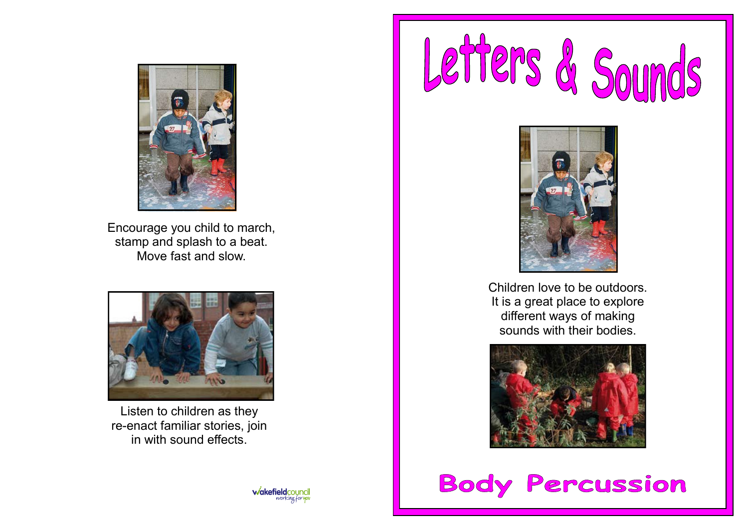

Encourage you child to march, stamp and splash to a beat. Move fast and slow.



Listen to children as they re-enact familiar stories, join in with sound effects.





Children love to be outdoors. It is a great place to explore different ways of making sounds with their bodies.



**Body Percussion**